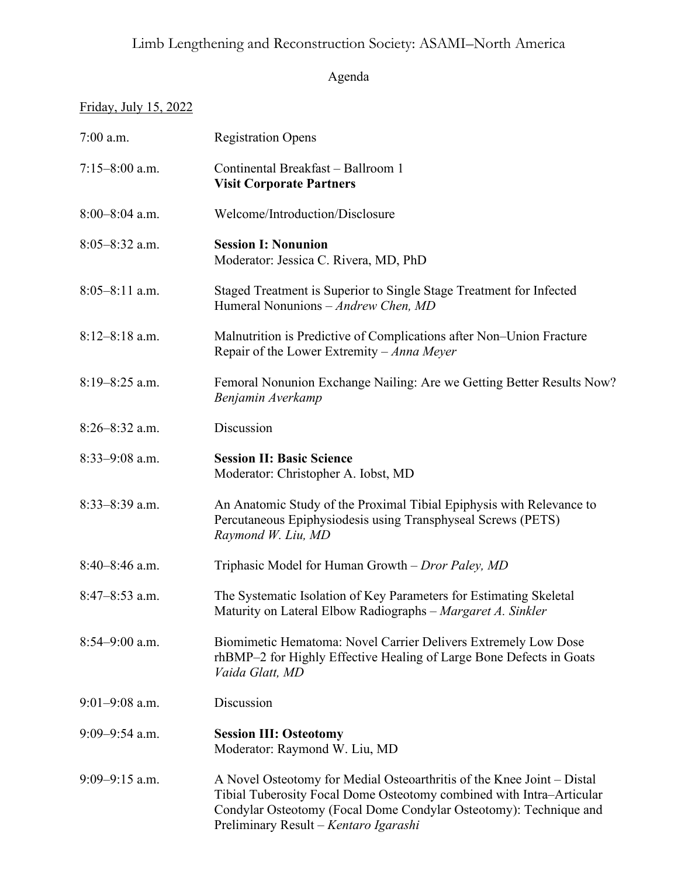## Limb Lengthening and Reconstruction Society: ASAMI–North America

## Agenda

## Friday, July 15, 2022

| $7:00$ a.m.        | <b>Registration Opens</b>                                                                                                                                                                                                                                    |
|--------------------|--------------------------------------------------------------------------------------------------------------------------------------------------------------------------------------------------------------------------------------------------------------|
| $7:15 - 8:00$ a.m. | Continental Breakfast - Ballroom 1<br><b>Visit Corporate Partners</b>                                                                                                                                                                                        |
| $8:00-8:04$ a.m.   | Welcome/Introduction/Disclosure                                                                                                                                                                                                                              |
| $8:05 - 8:32$ a.m. | <b>Session I: Nonunion</b><br>Moderator: Jessica C. Rivera, MD, PhD                                                                                                                                                                                          |
| $8:05-8:11$ a.m.   | Staged Treatment is Superior to Single Stage Treatment for Infected<br>Humeral Nonunions - Andrew Chen, MD                                                                                                                                                   |
| $8:12-8:18$ a.m.   | Malnutrition is Predictive of Complications after Non–Union Fracture<br>Repair of the Lower Extremity – Anna Meyer                                                                                                                                           |
| $8:19 - 8:25$ a.m. | Femoral Nonunion Exchange Nailing: Are we Getting Better Results Now?<br>Benjamin Averkamp                                                                                                                                                                   |
| $8:26 - 8:32$ a.m. | Discussion                                                                                                                                                                                                                                                   |
| $8:33-9:08$ a.m.   | <b>Session II: Basic Science</b><br>Moderator: Christopher A. Iobst, MD                                                                                                                                                                                      |
| $8:33-8:39$ a.m.   | An Anatomic Study of the Proximal Tibial Epiphysis with Relevance to<br>Percutaneous Epiphysiodesis using Transphyseal Screws (PETS)<br>Raymond W. Liu, MD                                                                                                   |
| $8:40-8:46$ a.m.   | Triphasic Model for Human Growth - Dror Paley, MD                                                                                                                                                                                                            |
| $8:47-8:53$ a.m.   | The Systematic Isolation of Key Parameters for Estimating Skeletal<br>Maturity on Lateral Elbow Radiographs - Margaret A. Sinkler                                                                                                                            |
| $8:54 - 9:00$ a.m. | Biomimetic Hematoma: Novel Carrier Delivers Extremely Low Dose<br>rhBMP-2 for Highly Effective Healing of Large Bone Defects in Goats<br>Vaida Glatt, MD                                                                                                     |
| $9:01-9:08$ a.m.   | Discussion                                                                                                                                                                                                                                                   |
| $9:09 - 9:54$ a.m. | <b>Session III: Osteotomy</b><br>Moderator: Raymond W. Liu, MD                                                                                                                                                                                               |
| $9:09 - 9:15$ a.m. | A Novel Osteotomy for Medial Osteoarthritis of the Knee Joint – Distal<br>Tibial Tuberosity Focal Dome Osteotomy combined with Intra-Articular<br>Condylar Osteotomy (Focal Dome Condylar Osteotomy): Technique and<br>Preliminary Result - Kentaro Igarashi |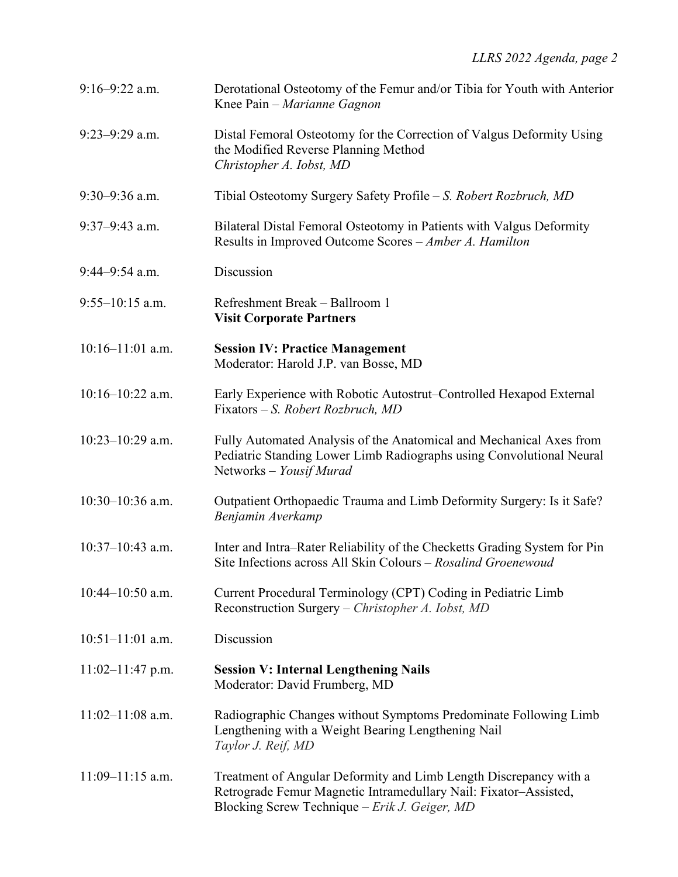| $9:16 - 9:22$ a.m.   | Derotational Osteotomy of the Femur and/or Tibia for Youth with Anterior<br>Knee Pain – Marianne Gagnon                                                                                |
|----------------------|----------------------------------------------------------------------------------------------------------------------------------------------------------------------------------------|
| $9:23-9:29$ a.m.     | Distal Femoral Osteotomy for the Correction of Valgus Deformity Using<br>the Modified Reverse Planning Method<br>Christopher A. Iobst, MD                                              |
| $9:30-9:36$ a.m.     | Tibial Osteotomy Surgery Safety Profile – S. Robert Rozbruch, MD                                                                                                                       |
| $9:37-9:43$ a.m.     | Bilateral Distal Femoral Osteotomy in Patients with Valgus Deformity<br>Results in Improved Outcome Scores - Amber A. Hamilton                                                         |
| $9:44-9:54$ a.m.     | Discussion                                                                                                                                                                             |
| $9:55-10:15$ a.m.    | Refreshment Break - Ballroom 1<br><b>Visit Corporate Partners</b>                                                                                                                      |
| $10:16-11:01$ a.m.   | <b>Session IV: Practice Management</b><br>Moderator: Harold J.P. van Bosse, MD                                                                                                         |
| $10:16 - 10:22$ a.m. | Early Experience with Robotic Autostrut–Controlled Hexapod External<br>Fixators – S. Robert Rozbruch, MD                                                                               |
| $10:23-10:29$ a.m.   | Fully Automated Analysis of the Anatomical and Mechanical Axes from<br>Pediatric Standing Lower Limb Radiographs using Convolutional Neural<br>Networks - Yousif Murad                 |
| $10:30-10:36$ a.m.   | Outpatient Orthopaedic Trauma and Limb Deformity Surgery: Is it Safe?<br>Benjamin Averkamp                                                                                             |
| $10:37-10:43$ a.m.   | Inter and Intra-Rater Reliability of the Checketts Grading System for Pin<br>Site Infections across All Skin Colours - Rosalind Groenewoud                                             |
| $10:44 - 10:50$ a.m. | Current Procedural Terminology (CPT) Coding in Pediatric Limb<br>Reconstruction Surgery – Christopher A. Iobst, MD                                                                     |
| $10:51-11:01$ a.m.   | Discussion                                                                                                                                                                             |
| $11:02-11:47$ p.m.   | <b>Session V: Internal Lengthening Nails</b><br>Moderator: David Frumberg, MD                                                                                                          |
| $11:02-11:08$ a.m.   | Radiographic Changes without Symptoms Predominate Following Limb<br>Lengthening with a Weight Bearing Lengthening Nail<br>Taylor J. Reif, MD                                           |
| $11:09 - 11:15$ a.m. | Treatment of Angular Deformity and Limb Length Discrepancy with a<br>Retrograde Femur Magnetic Intramedullary Nail: Fixator-Assisted,<br>Blocking Screw Technique – Erik J. Geiger, MD |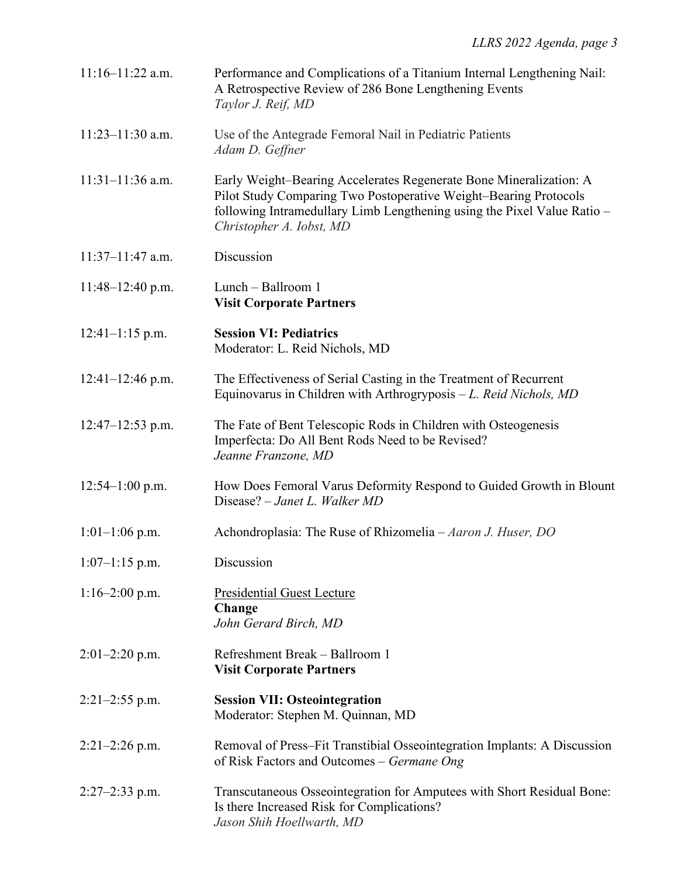| $11:16-11:22$ a.m.   | Performance and Complications of a Titanium Internal Lengthening Nail:<br>A Retrospective Review of 286 Bone Lengthening Events<br>Taylor J. Reif, MD                                                                                         |
|----------------------|-----------------------------------------------------------------------------------------------------------------------------------------------------------------------------------------------------------------------------------------------|
| $11:23-11:30$ a.m.   | Use of the Antegrade Femoral Nail in Pediatric Patients<br>Adam D. Geffner                                                                                                                                                                    |
| $11:31-11:36$ a.m.   | Early Weight-Bearing Accelerates Regenerate Bone Mineralization: A<br>Pilot Study Comparing Two Postoperative Weight-Bearing Protocols<br>following Intramedullary Limb Lengthening using the Pixel Value Ratio -<br>Christopher A. Iobst, MD |
| $11:37-11:47$ a.m.   | Discussion                                                                                                                                                                                                                                    |
| $11:48-12:40$ p.m.   | Lunch – Ballroom 1<br><b>Visit Corporate Partners</b>                                                                                                                                                                                         |
| $12:41-1:15$ p.m.    | <b>Session VI: Pediatrics</b><br>Moderator: L. Reid Nichols, MD                                                                                                                                                                               |
| $12:41-12:46$ p.m.   | The Effectiveness of Serial Casting in the Treatment of Recurrent<br>Equinovarus in Children with Arthrogryposis $-L$ . Reid Nichols, MD                                                                                                      |
| $12:47 - 12:53$ p.m. | The Fate of Bent Telescopic Rods in Children with Osteogenesis<br>Imperfecta: Do All Bent Rods Need to be Revised?<br>Jeanne Franzone, MD                                                                                                     |
| $12:54-1:00$ p.m.    | How Does Femoral Varus Deformity Respond to Guided Growth in Blount<br>Disease? - Janet L. Walker MD                                                                                                                                          |
| $1:01-1:06$ p.m.     | Achondroplasia: The Ruse of Rhizomelia - Aaron J. Huser, DO                                                                                                                                                                                   |
| $1:07-1:15$ p.m.     | Discussion                                                                                                                                                                                                                                    |
| $1:16-2:00$ p.m.     | <b>Presidential Guest Lecture</b><br>Change<br>John Gerard Birch, MD                                                                                                                                                                          |
| $2:01-2:20$ p.m.     | Refreshment Break - Ballroom 1<br><b>Visit Corporate Partners</b>                                                                                                                                                                             |
| $2:21-2:55$ p.m.     | <b>Session VII: Osteointegration</b><br>Moderator: Stephen M. Quinnan, MD                                                                                                                                                                     |
| $2:21-2:26$ p.m.     | Removal of Press–Fit Transtibial Osseointegration Implants: A Discussion<br>of Risk Factors and Outcomes – Germane Ong                                                                                                                        |
| $2:27-2:33$ p.m.     | Transcutaneous Osseointegration for Amputees with Short Residual Bone:<br>Is there Increased Risk for Complications?<br>Jason Shih Hoellwarth, MD                                                                                             |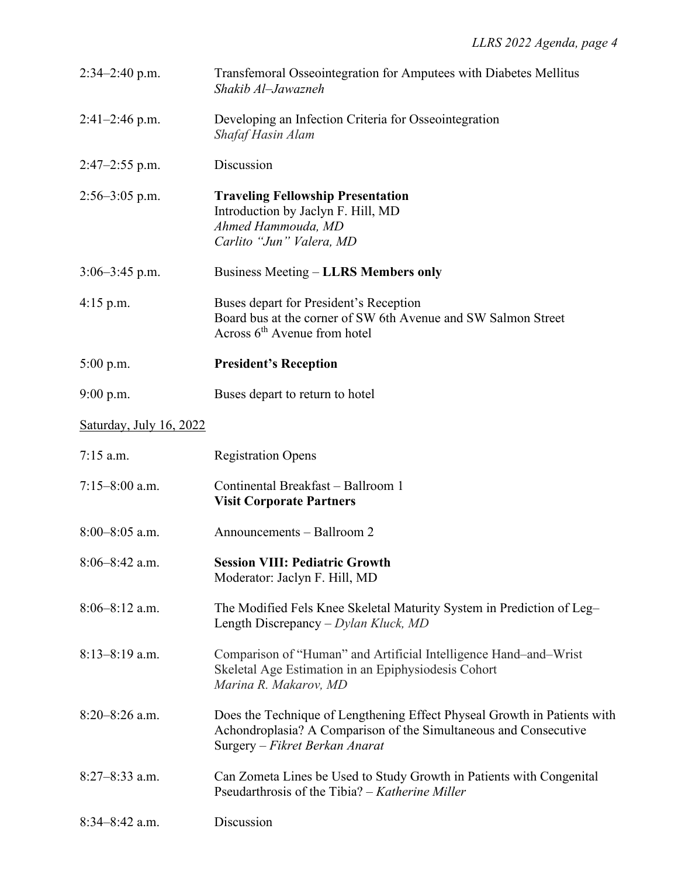| $2:34-2:40$ p.m.        | Transfemoral Osseointegration for Amputees with Diabetes Mellitus<br>Shakib Al-Jawazneh                                                                                        |
|-------------------------|--------------------------------------------------------------------------------------------------------------------------------------------------------------------------------|
| $2:41-2:46$ p.m.        | Developing an Infection Criteria for Osseointegration<br>Shafaf Hasin Alam                                                                                                     |
| $2:47-2:55$ p.m.        | Discussion                                                                                                                                                                     |
| $2:56 - 3:05$ p.m.      | <b>Traveling Fellowship Presentation</b><br>Introduction by Jaclyn F. Hill, MD<br>Ahmed Hammouda, MD<br>Carlito "Jun" Valera, MD                                               |
| $3:06-3:45$ p.m.        | <b>Business Meeting – LLRS Members only</b>                                                                                                                                    |
| $4:15$ p.m.             | Buses depart for President's Reception<br>Board bus at the corner of SW 6th Avenue and SW Salmon Street<br>Across $6th$ Avenue from hotel                                      |
| $5:00$ p.m.             | <b>President's Reception</b>                                                                                                                                                   |
| $9:00$ p.m.             | Buses depart to return to hotel                                                                                                                                                |
| Saturday, July 16, 2022 |                                                                                                                                                                                |
| $7:15$ a.m.             | <b>Registration Opens</b>                                                                                                                                                      |
| $7:15 - 8:00$ a.m.      | Continental Breakfast - Ballroom 1<br><b>Visit Corporate Partners</b>                                                                                                          |
| $8:00-8:05$ a.m.        | Announcements - Ballroom 2                                                                                                                                                     |
| 8:06-8:42 a.m.          | <b>Session VIII: Pediatric Growth</b><br>Moderator: Jaclyn F. Hill, MD                                                                                                         |
| $8:06 - 8:12$ a.m.      | The Modified Fels Knee Skeletal Maturity System in Prediction of Leg-<br>Length Discrepancy – $D$ <i>ylan Kluck</i> , MD                                                       |
| $8:13-8:19$ a.m.        | Comparison of "Human" and Artificial Intelligence Hand-and-Wrist<br>Skeletal Age Estimation in an Epiphysiodesis Cohort<br>Marina R. Makarov, MD                               |
| $8:20-8:26$ a.m.        | Does the Technique of Lengthening Effect Physeal Growth in Patients with<br>Achondroplasia? A Comparison of the Simultaneous and Consecutive<br>Surgery – Fikret Berkan Anarat |
| $8:27-8:33$ a.m.        | Can Zometa Lines be Used to Study Growth in Patients with Congenital<br>Pseudarthrosis of the Tibia? – Katherine Miller                                                        |
| $8:34-8:42$ a.m.        | Discussion                                                                                                                                                                     |